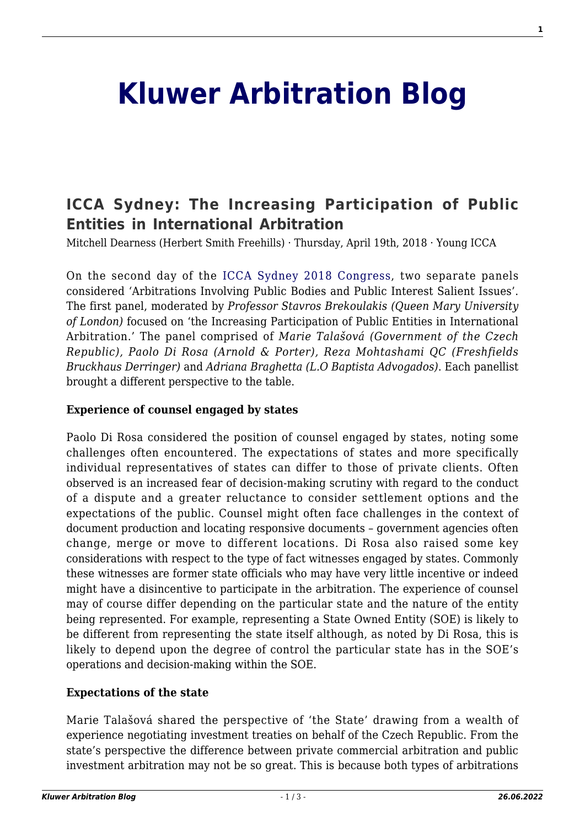# **[Kluwer Arbitration Blog](http://arbitrationblog.kluwerarbitration.com/)**

# **[ICCA Sydney: The Increasing Participation of Public](http://arbitrationblog.kluwerarbitration.com/2018/04/19/icca-sydney-increasing-participation-public-entities-international-arbitration/) [Entities in International Arbitration](http://arbitrationblog.kluwerarbitration.com/2018/04/19/icca-sydney-increasing-participation-public-entities-international-arbitration/)**

Mitchell Dearness (Herbert Smith Freehills) · Thursday, April 19th, 2018 · Young ICCA

On the second day of the [ICCA Sydney 2018 Congress](http://www.arbitration-icca.org/conferences-and-congresses/ICCA_2018_Congress_Sydney.html), two separate panels considered 'Arbitrations Involving Public Bodies and Public Interest Salient Issues'. The first panel, moderated by *Professor Stavros Brekoulakis (Queen Mary University of London)* focused on 'the Increasing Participation of Public Entities in International Arbitration.' The panel comprised of *Marie Talašová (Government of the Czech Republic), Paolo Di Rosa (Arnold & Porter), Reza Mohtashami QC (Freshfields Bruckhaus Derringer)* and *Adriana Braghetta (L.O Baptista Advogados)*. Each panellist brought a different perspective to the table.

#### **Experience of counsel engaged by states**

Paolo Di Rosa considered the position of counsel engaged by states, noting some challenges often encountered. The expectations of states and more specifically individual representatives of states can differ to those of private clients. Often observed is an increased fear of decision-making scrutiny with regard to the conduct of a dispute and a greater reluctance to consider settlement options and the expectations of the public. Counsel might often face challenges in the context of document production and locating responsive documents – government agencies often change, merge or move to different locations. Di Rosa also raised some key considerations with respect to the type of fact witnesses engaged by states. Commonly these witnesses are former state officials who may have very little incentive or indeed might have a disincentive to participate in the arbitration. The experience of counsel may of course differ depending on the particular state and the nature of the entity being represented. For example, representing a State Owned Entity (SOE) is likely to be different from representing the state itself although, as noted by Di Rosa, this is likely to depend upon the degree of control the particular state has in the SOE's operations and decision-making within the SOE.

#### **Expectations of the state**

Marie Talašová shared the perspective of 'the State' drawing from a wealth of experience negotiating investment treaties on behalf of the Czech Republic. From the state's perspective the difference between private commercial arbitration and public investment arbitration may not be so great. This is because both types of arbitrations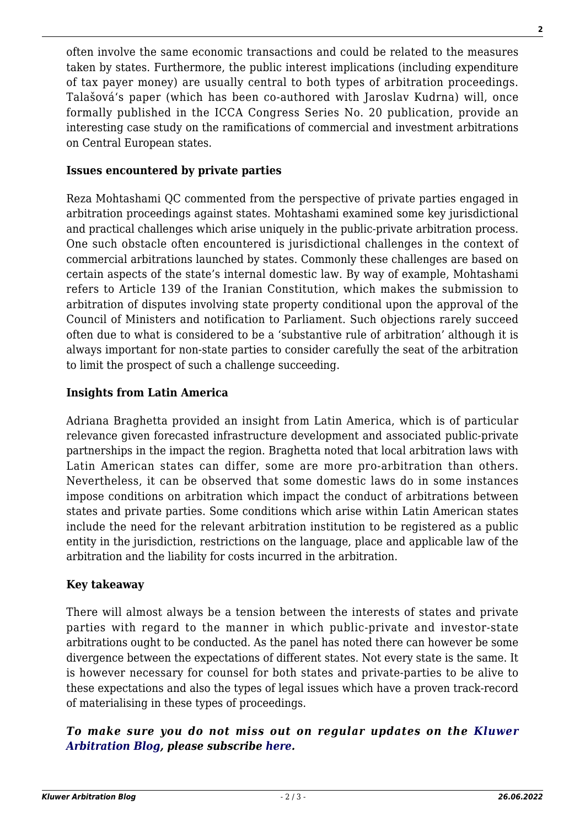often involve the same economic transactions and could be related to the measures taken by states. Furthermore, the public interest implications (including expenditure of tax payer money) are usually central to both types of arbitration proceedings. Talašová's paper (which has been co-authored with Jaroslav Kudrna) will, once formally published in the ICCA Congress Series No. 20 publication, provide an interesting case study on the ramifications of commercial and investment arbitrations on Central European states.

#### **Issues encountered by private parties**

Reza Mohtashami QC commented from the perspective of private parties engaged in arbitration proceedings against states. Mohtashami examined some key jurisdictional and practical challenges which arise uniquely in the public-private arbitration process. One such obstacle often encountered is jurisdictional challenges in the context of commercial arbitrations launched by states. Commonly these challenges are based on certain aspects of the state's internal domestic law. By way of example, Mohtashami refers to Article 139 of the Iranian Constitution, which makes the submission to arbitration of disputes involving state property conditional upon the approval of the Council of Ministers and notification to Parliament. Such objections rarely succeed often due to what is considered to be a 'substantive rule of arbitration' although it is always important for non-state parties to consider carefully the seat of the arbitration to limit the prospect of such a challenge succeeding.

### **Insights from Latin America**

Adriana Braghetta provided an insight from Latin America, which is of particular relevance given forecasted infrastructure development and associated public-private partnerships in the impact the region. Braghetta noted that local arbitration laws with Latin American states can differ, some are more pro-arbitration than others. Nevertheless, it can be observed that some domestic laws do in some instances impose conditions on arbitration which impact the conduct of arbitrations between states and private parties. Some conditions which arise within Latin American states include the need for the relevant arbitration institution to be registered as a public entity in the jurisdiction, restrictions on the language, place and applicable law of the arbitration and the liability for costs incurred in the arbitration.

#### **Key takeaway**

There will almost always be a tension between the interests of states and private parties with regard to the manner in which public-private and investor-state arbitrations ought to be conducted. As the panel has noted there can however be some divergence between the expectations of different states. Not every state is the same. It is however necessary for counsel for both states and private-parties to be alive to these expectations and also the types of legal issues which have a proven track-record of materialising in these types of proceedings.

## *To make sure you do not miss out on regular updates on the [Kluwer](http://arbitrationblog.kluwerarbitration.com/) [Arbitration Blog](http://arbitrationblog.kluwerarbitration.com/), please subscribe [here.](http://arbitrationblog.kluwerarbitration.com/newsletter/?email=&mailing_list_widget_submit=Subscribe)*